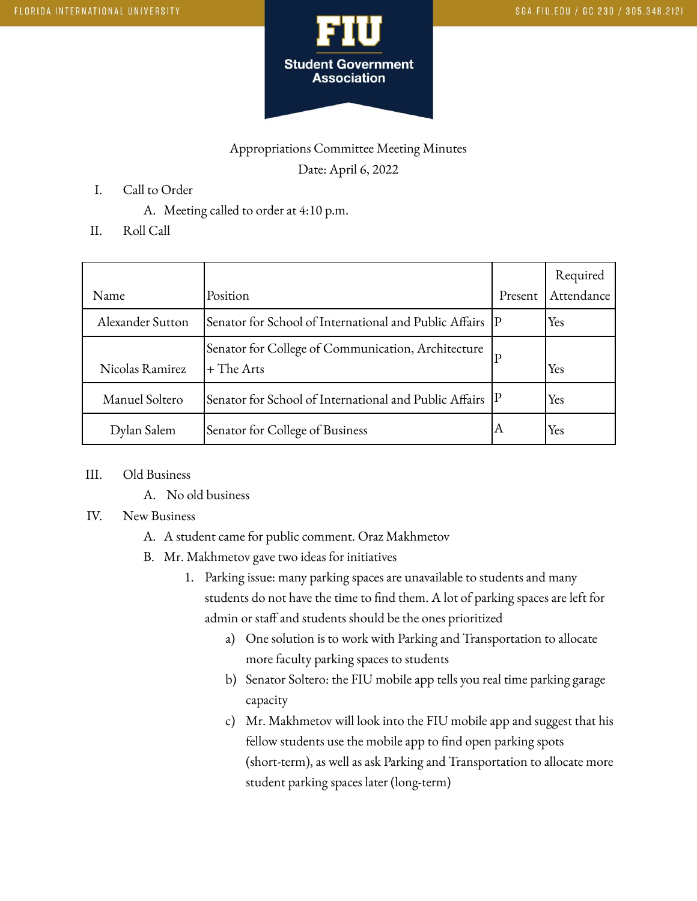

## Appropriations Committee Meeting Minutes Date: April 6, 2022

- I. Call to Order
	- A. Meeting called to order at 4:10 p.m.
- II. Roll Call

|                  |                                                                    |         | Required   |
|------------------|--------------------------------------------------------------------|---------|------------|
| Name             | Position                                                           | Present | Attendance |
| Alexander Sutton | Senator for School of International and Public Affairs  P          |         | Yes        |
| Nicolas Ramirez  | Senator for College of Communication, Architecture<br>$+$ The Arts | P       | Yes        |
| Manuel Soltero   | Senator for School of International and Public Affairs  P          |         | Yes        |
| Dylan Salem      | Senator for College of Business                                    | Α       | Yes        |

- III. Old Business
	- A. No old business

## IV. New Business

- A. A student came for public comment. Oraz Makhmetov
- B. Mr. Makhmetov gave two ideas for initiatives
	- 1. Parking issue: many parking spaces are unavailable to students and many students do not have the time to find them. A lot of parking spaces are left for admin or staff and students should be the ones prioritized
		- a) One solution is to work with Parking and Transportation to allocate more faculty parking spaces to students
		- b) Senator Soltero: the FIU mobile app tells you real time parking garage capacity
		- c) Mr. Makhmetov will look into the FIU mobile app and suggest that his fellow students use the mobile app to find open parking spots (short-term), as well as ask Parking and Transportation to allocate more student parking spaces later (long-term)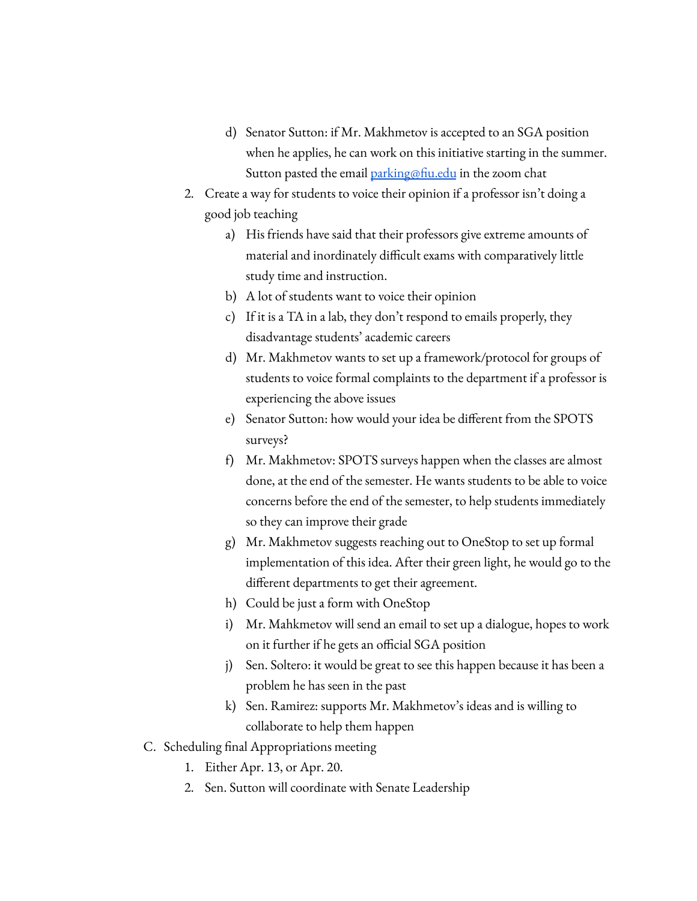- d) Senator Sutton: if Mr. Makhmetov is accepted to an SGA position when he applies, he can work on this initiative starting in the summer. Sutton pasted the email [parking@fiu.edu](mailto:parking@fiu.edu) in the zoom chat
- 2. Create a way for students to voice their opinion if a professor isn't doing a good job teaching
	- a) His friends have said that their professors give extreme amounts of material and inordinately difficult exams with comparatively little study time and instruction.
	- b) A lot of students want to voice their opinion
	- c) If it is a TA in a lab, they don't respond to emails properly, they disadvantage students' academic careers
	- d) Mr. Makhmetov wants to set up a framework/protocol for groups of students to voice formal complaints to the department if a professor is experiencing the above issues
	- e) Senator Sutton: how would your idea be different from the SPOTS surveys?
	- f) Mr. Makhmetov: SPOTS surveys happen when the classes are almost done, at the end of the semester. He wants students to be able to voice concerns before the end of the semester, to help students immediately so they can improve their grade
	- g) Mr. Makhmetov suggests reaching out to OneStop to set up formal implementation of this idea. After their green light, he would go to the different departments to get their agreement.
	- h) Could be just a form with OneStop
	- i) Mr. Mahkmetov will send an email to set up a dialogue, hopes to work on it further if he gets an official SGA position
	- j) Sen. Soltero: it would be great to see this happen because it has been a problem he has seen in the past
	- k) Sen. Ramirez: supports Mr. Makhmetov's ideas and is willing to collaborate to help them happen
- C. Scheduling final Appropriations meeting
	- 1. Either Apr. 13, or Apr. 20.
	- 2. Sen. Sutton will coordinate with Senate Leadership